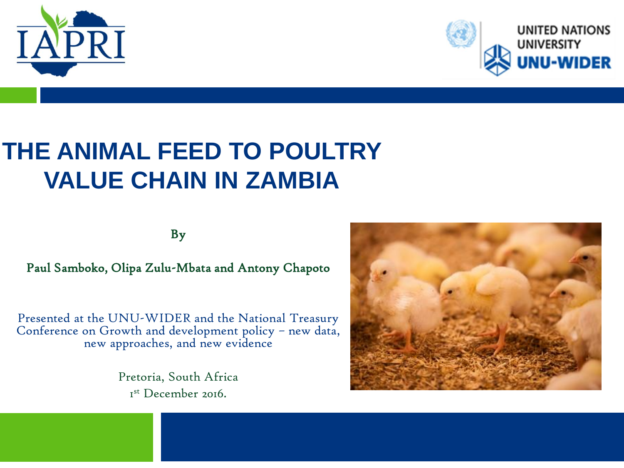



#### **THE ANIMAL FEED TO POULTRY VALUE CHAIN IN ZAMBIA**

By

Paul Samboko, Olipa Zulu-Mbata and Antony Chapoto

Presented at the UNU-WIDER and the National Treasury Conference on Growth and development policy – new data, new approaches, and new evidence

> Pretoria, South Africa I<sup>st</sup> December 2016.

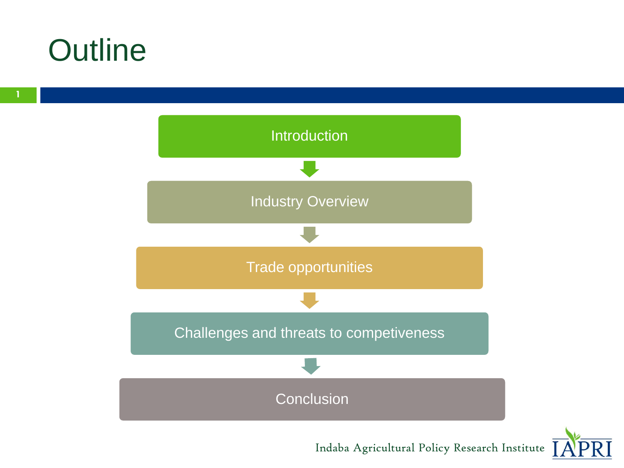



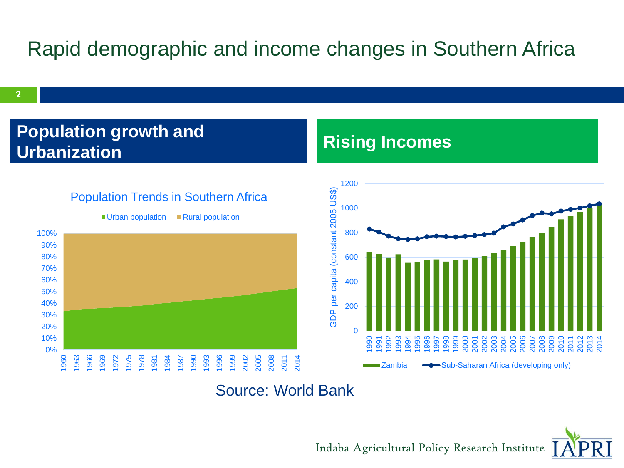#### Rapid demographic and income changes in Southern Africa

**2**

#### **Population growth and Urbanization**<br> **Urbanization**



Source: World Bank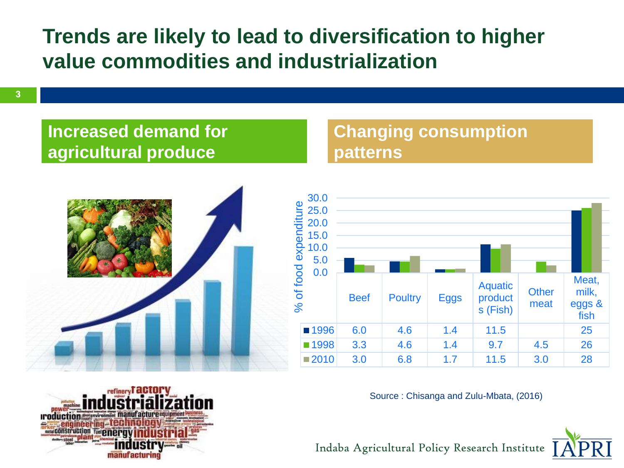#### **Trends are likely to lead to diversification to higher value commodities and industrialization**



Source : Chisanga and Zulu-Mbata, (2016)



refinery**l actor** engineeringcuconstruction fuelener manufacturing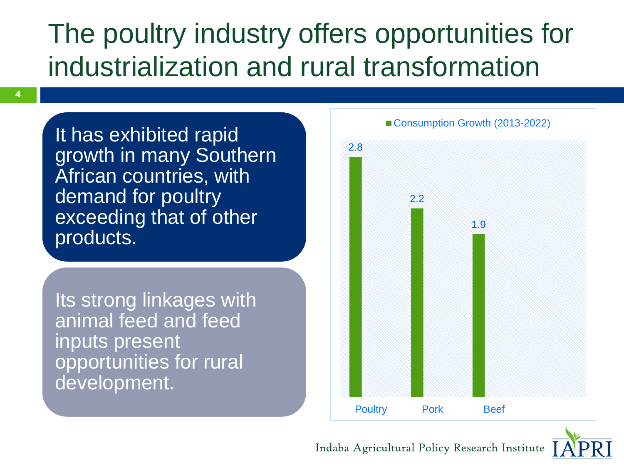## The poultry industry offers opportunities for industrialization and rural transformation

It has exhibited rapid growth in many Southern African countries, with demand for poultry exceeding that of other products.

Its strong linkages with animal feed and feed inputs present opportunities for rural development.



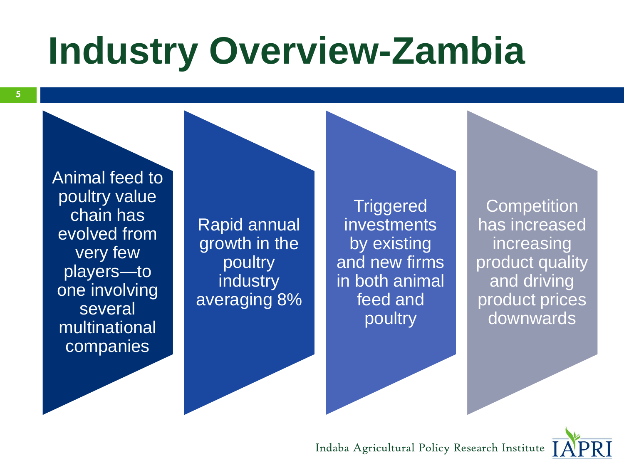# **Industry Overview-Zambia**

**5**

Animal feed to poultry value chain has evolved from very few players—to one involving several multinational companies

Rapid annual growth in the poultry industry averaging 8%

**Triggered** investments by existing and new firms in both animal feed and poultry

**Competition** has increased increasing product quality and driving product prices downwards

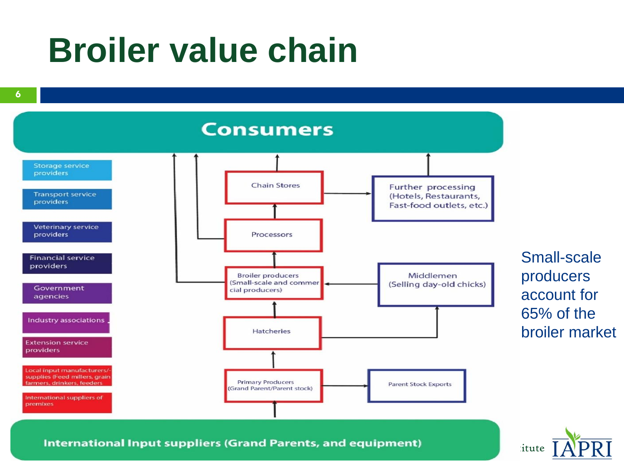# **Broiler value chain**

**6**



International Input suppliers (Grand Parents, and equipment) **Agricultural Parameters** itute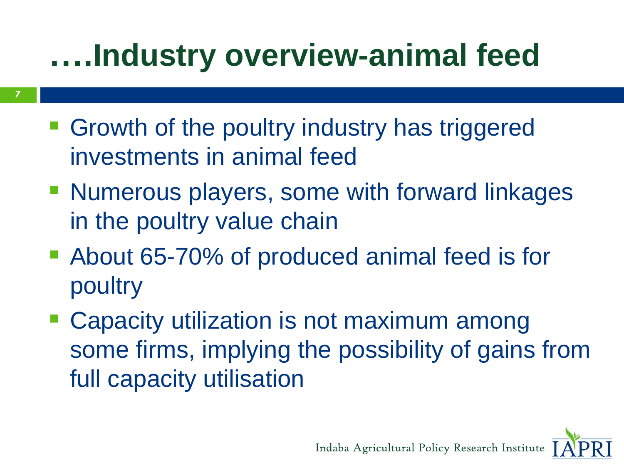# **….Industry overview-animal feed**

- Growth of the poultry industry has triggered investments in animal feed
- Numerous players, some with forward linkages in the poultry value chain
- About 65-70% of produced animal feed is for poultry
- Capacity utilization is not maximum among some firms, implying the possibility of gains from full capacity utilisation

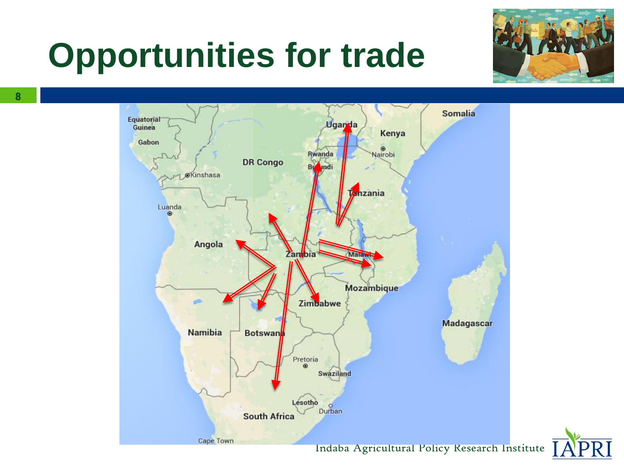# **Opportunities for trade**





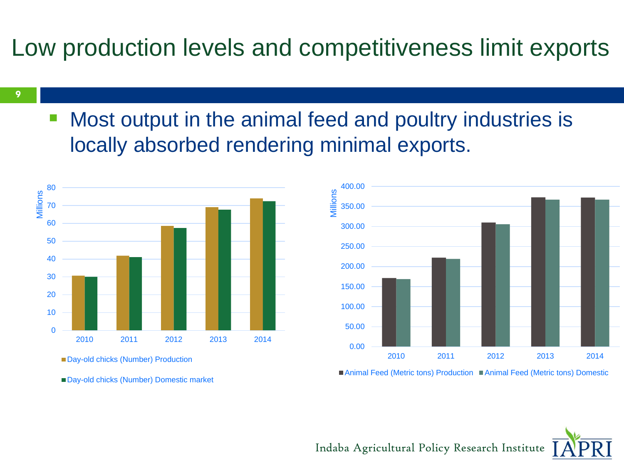#### Low production levels and competitiveness limit exports

- **9**
- Most output in the animal feed and poultry industries is locally absorbed rendering minimal exports.



Day-old chicks (Number) Production

Day-old chicks (Number) Domestic market



■ Animal Feed (Metric tons) Production ■ Animal Feed (Metric tons) Domestic

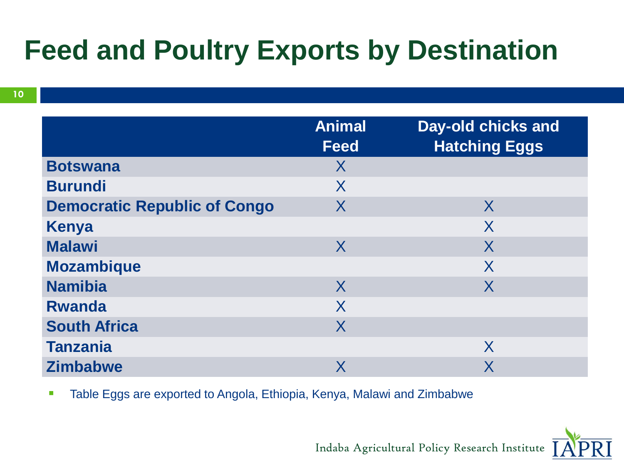## **Feed and Poultry Exports by Destination**

**10**

|                                     | <b>Animal</b><br><b>Feed</b> | Day-old chicks and<br><b>Hatching Eggs</b> |
|-------------------------------------|------------------------------|--------------------------------------------|
| <b>Botswana</b>                     | X                            |                                            |
| <b>Burundi</b>                      | X                            |                                            |
| <b>Democratic Republic of Congo</b> | X                            | X                                          |
| <b>Kenya</b>                        |                              | X                                          |
| <b>Malawi</b>                       | X                            | X                                          |
| <b>Mozambique</b>                   |                              | X                                          |
| <b>Namibia</b>                      | X                            | X                                          |
| <b>Rwanda</b>                       | X                            |                                            |
| <b>South Africa</b>                 | X                            |                                            |
| <b>Tanzania</b>                     |                              | X                                          |
| <b>Zimbabwe</b>                     |                              |                                            |

**Table Eggs are exported to Angola, Ethiopia, Kenya, Malawi and Zimbabwe** 

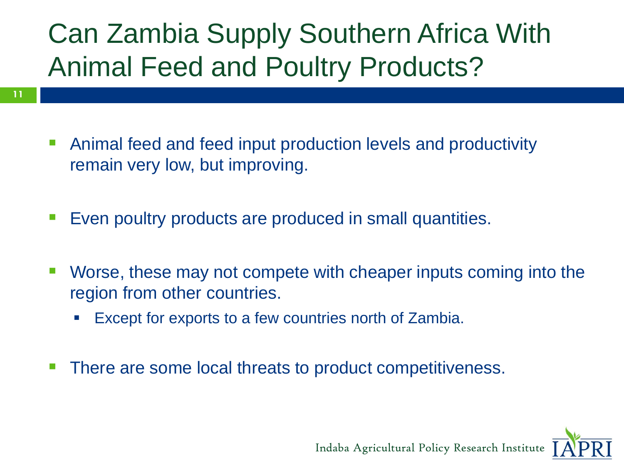## Can Zambia Supply Southern Africa With Animal Feed and Poultry Products?

- **11**
- Animal feed and feed input production levels and productivity remain very low, but improving.
- Even poultry products are produced in small quantities.
- Worse, these may not compete with cheaper inputs coming into the region from other countries.
	- Except for exports to a few countries north of Zambia.
- There are some local threats to product competitiveness.

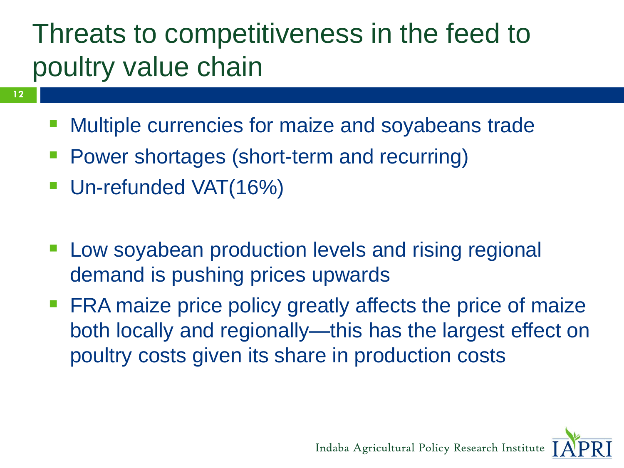### Threats to competitiveness in the feed to poultry value chain

- **12**
- Multiple currencies for maize and soyabeans trade
- Power shortages (short-term and recurring)
- Un-refunded VAT(16%)
- Low soyabean production levels and rising regional demand is pushing prices upwards
- FRA maize price policy greatly affects the price of maize both locally and regionally—this has the largest effect on poultry costs given its share in production costs

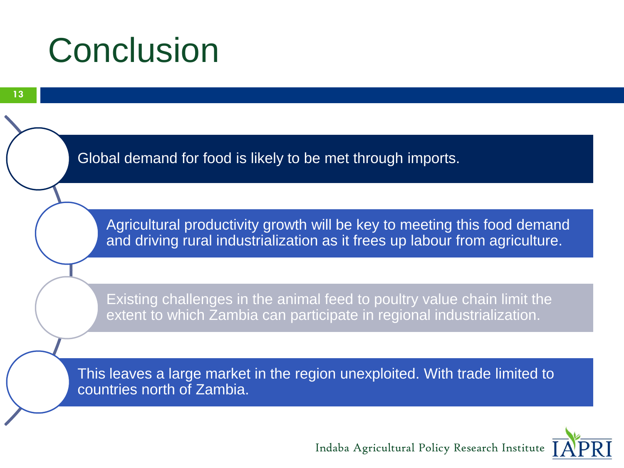# **Conclusion**

Global demand for food is likely to be met through imports. Agricultural productivity growth will be key to meeting this food demand and driving rural industrialization as it frees up labour from agriculture. Existing challenges in the animal feed to poultry value chain limit the extent to which Zambia can participate in regional industrialization. This leaves a large market in the region unexploited. With trade limited to countries north of Zambia. **13**

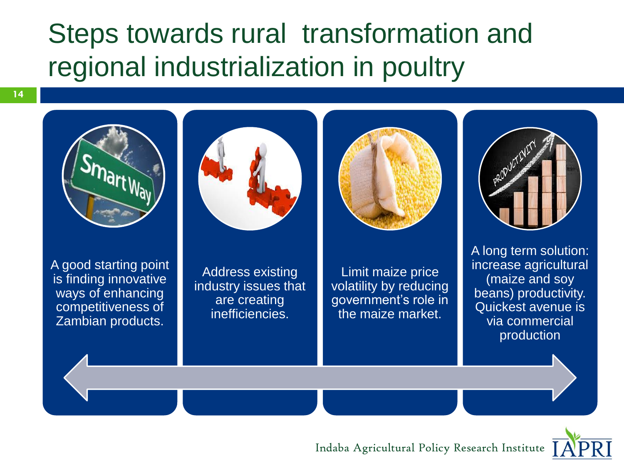#### Steps towards rural transformation and regional industrialization in poultry



**14**

A good starting point is finding innovative ways of enhancing competitiveness of Zambian products.



Address existing industry issues that are creating inefficiencies.



Limit maize price volatility by reducing government's role in the maize market.



A long term solution: increase agricultural (maize and soy beans) productivity. Quickest avenue is via commercial production

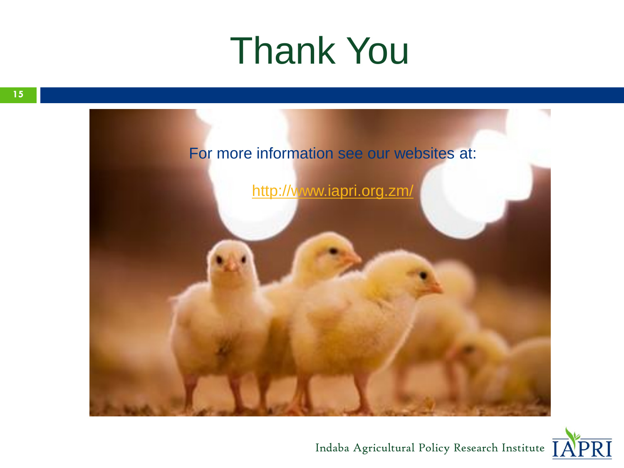# Thank You



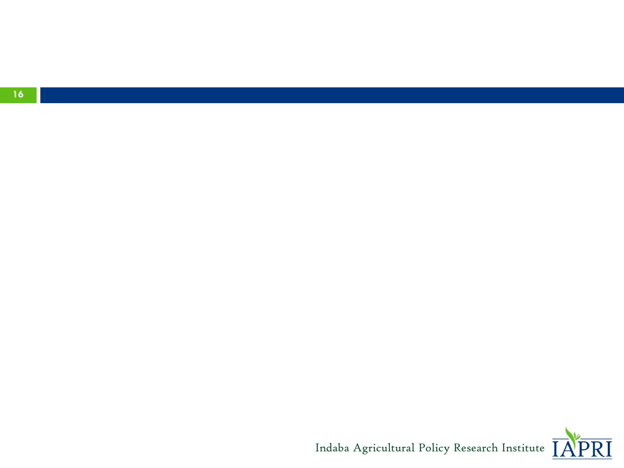**16**